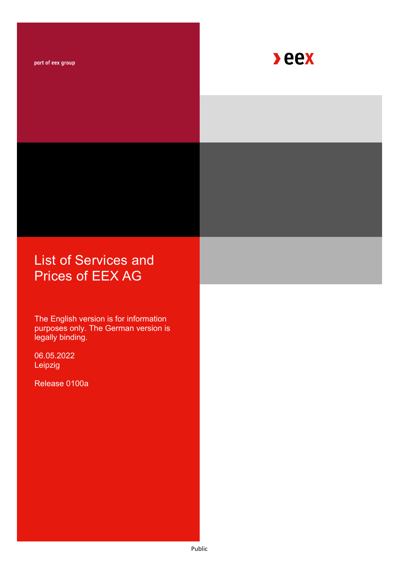part of eex group



# List of Services and Prices of EEX AG

The English version is for information purposes only. The German version is legally binding.

06.05.2022 Leipzig

Release 0100a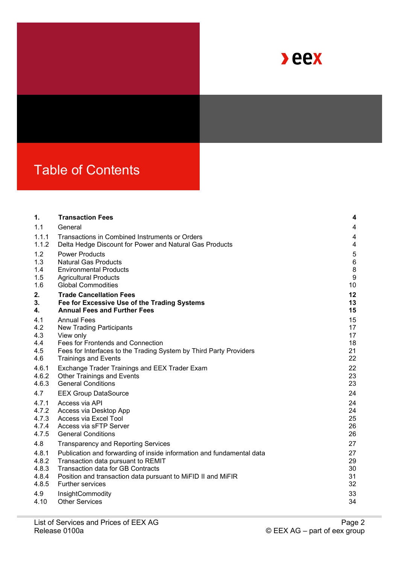

# Table of Contents

| 1.    | <b>Transaction Fees</b>                                               | 4                       |
|-------|-----------------------------------------------------------------------|-------------------------|
| 1.1   | General                                                               | $\overline{\mathbf{4}}$ |
| 1.1.1 | Transactions in Combined Instruments or Orders                        | 4                       |
| 1.1.2 | Delta Hedge Discount for Power and Natural Gas Products               | 4                       |
| 1.2   | <b>Power Products</b>                                                 | 5                       |
| 1.3   | <b>Natural Gas Products</b>                                           | $6\phantom{1}6$         |
| 1.4   | <b>Environmental Products</b>                                         | $\bf 8$                 |
| 1.5   | <b>Agricultural Products</b>                                          | 9                       |
| 1.6   | <b>Global Commodities</b>                                             | 10                      |
| 2.    | <b>Trade Cancellation Fees</b>                                        | 12                      |
| 3.    | Fee for Excessive Use of the Trading Systems                          | 13                      |
| 4.    | <b>Annual Fees and Further Fees</b>                                   | 15                      |
| 4.1   | <b>Annual Fees</b>                                                    | 15                      |
| 4.2   | <b>New Trading Participants</b>                                       | 17                      |
| 4.3   | View only                                                             | 17                      |
| 4.4   | Fees for Frontends and Connection                                     | 18                      |
| 4.5   | Fees for Interfaces to the Trading System by Third Party Providers    | 21                      |
| 4.6   | <b>Trainings and Events</b>                                           | 22                      |
| 4.6.1 | Exchange Trader Trainings and EEX Trader Exam                         | 22                      |
| 4.6.2 | <b>Other Trainings and Events</b>                                     | 23                      |
| 4.6.3 | <b>General Conditions</b>                                             | 23                      |
| 4.7   | <b>EEX Group DataSource</b>                                           | 24                      |
| 4.7.1 | Access via API                                                        | 24                      |
| 4.7.2 | Access via Desktop App                                                | 24                      |
| 4.7.3 | Access via Excel Tool                                                 | 25                      |
| 4.7.4 | Access via sFTP Server                                                | 26                      |
| 4.7.5 | <b>General Conditions</b>                                             | 26                      |
| 4.8   | <b>Transparency and Reporting Services</b>                            | 27                      |
| 4.8.1 | Publication and forwarding of inside information and fundamental data | 27                      |
| 4.8.2 | Transaction data pursuant to REMIT                                    | 29                      |
| 4.8.3 | <b>Transaction data for GB Contracts</b>                              | 30                      |
| 4.8.4 | Position and transaction data pursuant to MiFID II and MiFIR          | 31                      |
| 4.8.5 | <b>Further services</b>                                               | 32                      |
| 4.9   | InsightCommodity                                                      | 33                      |
| 4.10  | <b>Other Services</b>                                                 | 34                      |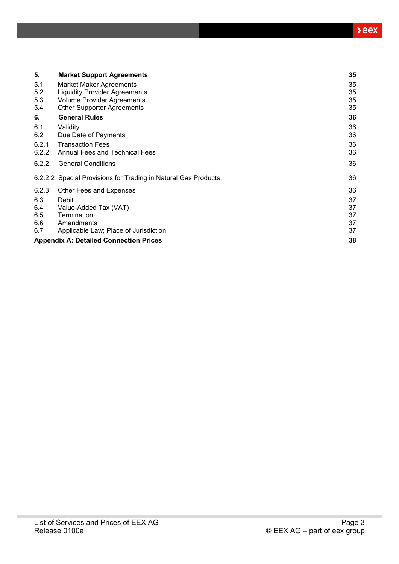| 5.    | <b>Market Support Agreements</b>                               | 35 |
|-------|----------------------------------------------------------------|----|
| 5.1   | Market Maker Agreements                                        | 35 |
| 5.2   | <b>Liquidity Provider Agreements</b>                           | 35 |
| 5.3   | <b>Volume Provider Agreements</b>                              | 35 |
| 5.4   | <b>Other Supporter Agreements</b>                              | 35 |
| 6.    | <b>General Rules</b>                                           | 36 |
| 6.1   | Validity                                                       | 36 |
| 6.2   | Due Date of Payments                                           | 36 |
| 6.2.1 | <b>Transaction Fees</b>                                        | 36 |
| 6.2.2 | <b>Annual Fees and Technical Fees</b>                          | 36 |
|       | 6.2.2.1 General Conditions                                     | 36 |
|       | 6.2.2.2 Special Provisions for Trading in Natural Gas Products | 36 |
| 6.2.3 | Other Fees and Expenses                                        | 36 |
| 6.3   | Debit                                                          | 37 |
| 6.4   | Value-Added Tax (VAT)                                          | 37 |
| 6.5   | Termination                                                    | 37 |
| 6.6   | Amendments                                                     | 37 |
| 6.7   | Applicable Law; Place of Jurisdiction                          | 37 |
|       | <b>Appendix A: Detailed Connection Prices</b>                  | 38 |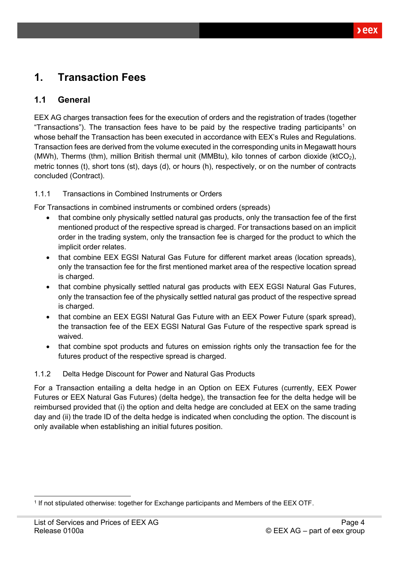# <span id="page-3-0"></span>**1. Transaction Fees**

### <span id="page-3-1"></span>**1.1 General**

EEX AG charges transaction fees for the execution of orders and the registration of trades (together "Transactions"). The transaction fees have to be paid by the respective trading participants<sup>1</sup> on whose behalf the Transaction has been executed in accordance with EEX's Rules and Regulations. Transaction fees are derived from the volume executed in the corresponding units in Megawatt hours (MWh), Therms (thm), million British thermal unit (MMBtu), kilo tonnes of carbon dioxide (ktCO2), metric tonnes (t), short tons (st), days (d), or hours (h), respectively, or on the number of contracts concluded (Contract).

#### <span id="page-3-2"></span>1.1.1 Transactions in Combined Instruments or Orders

For Transactions in combined instruments or combined orders (spreads)

- that combine only physically settled natural gas products, only the transaction fee of the first mentioned product of the respective spread is charged. For transactions based on an implicit order in the trading system, only the transaction fee is charged for the product to which the implicit order relates.
- that combine EEX EGSI Natural Gas Future for different market areas (location spreads), only the transaction fee for the first mentioned market area of the respective location spread is charged.
- that combine physically settled natural gas products with EEX EGSI Natural Gas Futures, only the transaction fee of the physically settled natural gas product of the respective spread is charged.
- that combine an EEX EGSI Natural Gas Future with an EEX Power Future (spark spread), the transaction fee of the EEX EGSI Natural Gas Future of the respective spark spread is waived.
- that combine spot products and futures on emission rights only the transaction fee for the futures product of the respective spread is charged.

#### <span id="page-3-3"></span>1.1.2 Delta Hedge Discount for Power and Natural Gas Products

For a Transaction entailing a delta hedge in an Option on EEX Futures (currently, EEX Power Futures or EEX Natural Gas Futures) (delta hedge), the transaction fee for the delta hedge will be reimbursed provided that (i) the option and delta hedge are concluded at EEX on the same trading day and (ii) the trade ID of the delta hedge is indicated when concluding the option. The discount is only available when establishing an initial futures position.

<sup>1</sup> If not stipulated otherwise: together for Exchange participants and Members of the EEX OTF.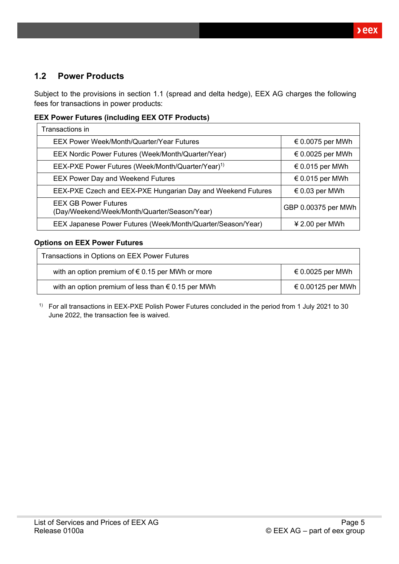### <span id="page-4-0"></span>**1.2 Power Products**

Subject to the provisions in section 1.1 (spread and delta hedge), EEX AG charges the following fees for transactions in power products:

#### **EEX Power Futures (including EEX OTF Products)**

| Transactions in                                                             |                           |
|-----------------------------------------------------------------------------|---------------------------|
| EEX Power Week/Month/Quarter/Year Futures                                   | € 0.0075 per MWh          |
| EEX Nordic Power Futures (Week/Month/Quarter/Year)                          | $\epsilon$ 0.0025 per MWh |
| EEX-PXE Power Futures (Week/Month/Quarter/Year) <sup>1)</sup>               | € 0.015 per MWh           |
| <b>EEX Power Day and Weekend Futures</b>                                    | € 0.015 per MWh           |
| EEX-PXE Czech and EEX-PXE Hungarian Day and Weekend Futures                 | € 0.03 per MWh            |
| <b>EEX GB Power Futures</b><br>(Day/Weekend/Week/Month/Quarter/Season/Year) | GBP 0.00375 per MWh       |
| EEX Japanese Power Futures (Week/Month/Quarter/Season/Year)                 | $42.00$ per MWh           |

#### **Options on EEX Power Futures**

| Transactions in Options on EEX Power Futures                |                   |  |
|-------------------------------------------------------------|-------------------|--|
| with an option premium of $\epsilon$ 0.15 per MWh or more   | € 0.0025 per MWh  |  |
| with an option premium of less than $\epsilon$ 0.15 per MWh | € 0.00125 per MWh |  |

1) For all transactions in EEX-PXE Polish Power Futures concluded in the period from 1 July 2021 to 30 June 2022, the transaction fee is waived.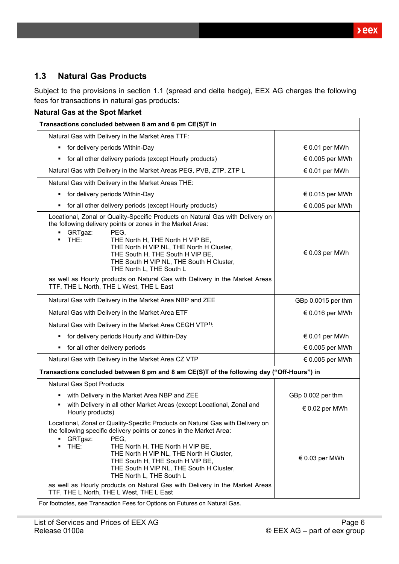$beex$ 

### <span id="page-5-0"></span>**1.3 Natural Gas Products**

Subject to the provisions in section 1.1 (spread and delta hedge), EEX AG charges the following fees for transactions in natural gas products:

| Transactions concluded between 8 am and 6 pm CE(S)T in                                                                                                                                                                                                                                                                                                                                                                                                                                                           |                         |  |
|------------------------------------------------------------------------------------------------------------------------------------------------------------------------------------------------------------------------------------------------------------------------------------------------------------------------------------------------------------------------------------------------------------------------------------------------------------------------------------------------------------------|-------------------------|--|
| Natural Gas with Delivery in the Market Area TTF:                                                                                                                                                                                                                                                                                                                                                                                                                                                                |                         |  |
| for delivery periods Within-Day<br>٠                                                                                                                                                                                                                                                                                                                                                                                                                                                                             | € 0.01 per MWh          |  |
| for all other delivery periods (except Hourly products)                                                                                                                                                                                                                                                                                                                                                                                                                                                          | € 0.005 per MWh         |  |
| Natural Gas with Delivery in the Market Areas PEG, PVB, ZTP, ZTP L                                                                                                                                                                                                                                                                                                                                                                                                                                               | € 0.01 per MWh          |  |
| Natural Gas with Delivery in the Market Areas THE:                                                                                                                                                                                                                                                                                                                                                                                                                                                               |                         |  |
| for delivery periods Within-Day<br>٠                                                                                                                                                                                                                                                                                                                                                                                                                                                                             | € 0.015 per MWh         |  |
| for all other delivery periods (except Hourly products)                                                                                                                                                                                                                                                                                                                                                                                                                                                          | € 0.005 per MWh         |  |
| Locational, Zonal or Quality-Specific Products on Natural Gas with Delivery on<br>the following delivery points or zones in the Market Area:<br>GRTgaz:<br>PEG,<br>$\blacksquare$<br>THE:<br>THE North H, THE North H VIP BE,<br>THE North H VIP NL, THE North H Cluster,<br>THE South H, THE South H VIP BE,<br>THE South H VIP NL, THE South H Cluster,<br>THE North L, THE South L<br>as well as Hourly products on Natural Gas with Delivery in the Market Areas<br>TTF, THE L North, THE L West, THE L East | $\epsilon$ 0.03 per MWh |  |
| Natural Gas with Delivery in the Market Area NBP and ZEE                                                                                                                                                                                                                                                                                                                                                                                                                                                         | GBp 0.0015 per thm      |  |
| Natural Gas with Delivery in the Market Area ETF                                                                                                                                                                                                                                                                                                                                                                                                                                                                 | € 0.016 per MWh         |  |
| Natural Gas with Delivery in the Market Area CEGH VTP <sup>1)</sup> :                                                                                                                                                                                                                                                                                                                                                                                                                                            |                         |  |
| for delivery periods Hourly and Within-Day                                                                                                                                                                                                                                                                                                                                                                                                                                                                       | € 0.01 per MWh          |  |
| for all other delivery periods                                                                                                                                                                                                                                                                                                                                                                                                                                                                                   | € 0.005 per MWh         |  |
| Natural Gas with Delivery in the Market Area CZ VTP                                                                                                                                                                                                                                                                                                                                                                                                                                                              | € 0.005 per MWh         |  |
| Transactions concluded between 6 pm and 8 am CE(S)T of the following day ("Off-Hours") in                                                                                                                                                                                                                                                                                                                                                                                                                        |                         |  |
| Natural Gas Spot Products                                                                                                                                                                                                                                                                                                                                                                                                                                                                                        |                         |  |
| with Delivery in the Market Area NBP and ZEE                                                                                                                                                                                                                                                                                                                                                                                                                                                                     | GBp 0.002 per thm       |  |
| with Delivery in all other Market Areas (except Locational, Zonal and<br>٠<br>Hourly products)                                                                                                                                                                                                                                                                                                                                                                                                                   | $\epsilon$ 0.02 per MWh |  |
| Locational, Zonal or Quality-Specific Products on Natural Gas with Delivery on<br>the following specific delivery points or zones in the Market Area:<br>GRTgaz:<br>PEG,<br>THE:<br>THE North H, THE North H VIP BE,<br>THE North H VIP NL, THE North H Cluster,<br>THE South H, THE South H VIP BE,<br>THE South H VIP NL, THE South H Cluster,<br>THE North L, THE South L<br>as well as Hourly products on Natural Gas with Delivery in the Market Areas<br>TTF, THE L North, THE L West, THE L East          | € 0.03 per MWh          |  |

For footnotes, see Transaction Fees for Options on Futures on Natural Gas.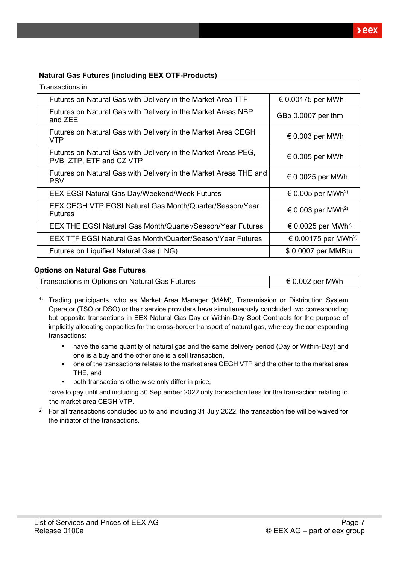#### **Natural Gas Futures (including EEX OTF-Products)**

| Transactions in                                                                           |                                 |
|-------------------------------------------------------------------------------------------|---------------------------------|
| Futures on Natural Gas with Delivery in the Market Area TTF                               | € 0.00175 per MWh               |
| Futures on Natural Gas with Delivery in the Market Areas NBP<br>and ZEE                   | GBp 0.0007 per thm              |
| Futures on Natural Gas with Delivery in the Market Area CEGH<br>VTP                       | $\epsilon$ 0.003 per MWh        |
| Futures on Natural Gas with Delivery in the Market Areas PEG,<br>PVB, ZTP, ETF and CZ VTP | € 0.005 per MWh                 |
| Futures on Natural Gas with Delivery in the Market Areas THE and<br><b>PSV</b>            | € 0.0025 per MWh                |
| <b>EEX EGSI Natural Gas Day/Weekend/Week Futures</b>                                      | € 0.005 per MWh <sup>2)</sup>   |
| EEX CEGH VTP EGSI Natural Gas Month/Quarter/Season/Year<br><b>Futures</b>                 | € 0.003 per MWh <sup>2)</sup>   |
| <b>EEX THE EGSI Natural Gas Month/Quarter/Season/Year Futures</b>                         | € 0.0025 per MWh <sup>2)</sup>  |
| <b>EEX TTF EGSI Natural Gas Month/Quarter/Season/Year Futures</b>                         | € 0.00175 per MWh <sup>2)</sup> |
| Futures on Liquified Natural Gas (LNG)                                                    | \$0.0007 per MMBtu              |

#### **Options on Natural Gas Futures**

| Transactions in Options on Natural Gas Futures | € 0.002 per MWh |
|------------------------------------------------|-----------------|
|                                                |                 |

<sup>1)</sup> Trading participants, who as Market Area Manager (MAM), Transmission or Distribution System Operator (TSO or DSO) or their service providers have simultaneously concluded two corresponding but opposite transactions in EEX Natural Gas Day or Within-Day Spot Contracts for the purpose of implicitly allocating capacities for the cross-border transport of natural gas, whereby the corresponding transactions:

- have the same quantity of natural gas and the same delivery period (Day or Within-Day) and one is a buy and the other one is a sell transaction,
- one of the transactions relates to the market area CEGH VTP and the other to the market area THE, and
- both transactions otherwise only differ in price,

have to pay until and including 30 September 2022 only transaction fees for the transaction relating to the market area CEGH VTP.

<sup>2)</sup> For all transactions concluded up to and including 31 July 2022, the transaction fee will be waived for the initiator of the transactions.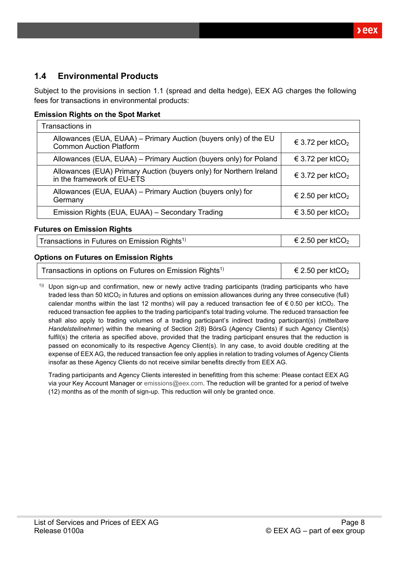$xeex$ 

### <span id="page-7-0"></span>**1.4 Environmental Products**

Subject to the provisions in section 1.1 (spread and delta hedge), EEX AG charges the following fees for transactions in environmental products:

#### **Emission Rights on the Spot Market**

| Transactions in                                                                                    |                              |  |
|----------------------------------------------------------------------------------------------------|------------------------------|--|
| Allowances (EUA, EUAA) – Primary Auction (buyers only) of the EU<br><b>Common Auction Platform</b> | € 3.72 per ktCO <sub>2</sub> |  |
| Allowances (EUA, EUAA) - Primary Auction (buyers only) for Poland                                  | € 3.72 per ktCO <sub>2</sub> |  |
| Allowances (EUA) Primary Auction (buyers only) for Northern Ireland<br>in the framework of EU-ETS  | € 3.72 per ktCO <sub>2</sub> |  |
| Allowances (EUA, EUAA) - Primary Auction (buyers only) for<br>Germany                              | € 2.50 per ktCO <sub>2</sub> |  |
| Emission Rights (EUA, EUAA) - Secondary Trading                                                    | € 3.50 per ktCO <sub>2</sub> |  |

#### **Futures on Emission Rights**

Transactions in Futures on Emission Rights<sup>1)</sup>  $\epsilon$  2.50 per ktCO<sub>2</sub>

#### **Options on Futures on Emission Rights**

| Transactions in options on Futures on Emission Rights <sup>1)</sup> | $\epsilon$ 2.50 per ktCO <sub>2</sub> |
|---------------------------------------------------------------------|---------------------------------------|
|---------------------------------------------------------------------|---------------------------------------|

 $1)$ ) Upon sign-up and confirmation, new or newly active trading participants (trading participants who have traded less than 50 ktCO<sub>2</sub> in futures and options on emission allowances during any three consecutive (full) calendar months within the last 12 months) will pay a reduced transaction fee of  $\epsilon$  0.50 per ktCO<sub>2</sub>. The reduced transaction fee applies to the trading participant's total trading volume. The reduced transaction fee shall also apply to trading volumes of a trading participant's indirect trading participant(s) (*mittelbare Handelsteilnehmer*) within the meaning of Section 2(8) BörsG (Agency Clients) if such Agency Client(s) fulfil(s) the criteria as specified above, provided that the trading participant ensures that the reduction is passed on economically to its respective Agency Client(s). In any case, to avoid double crediting at the expense of EEX AG, the reduced transaction fee only applies in relation to trading volumes of Agency Clients insofar as these Agency Clients do not receive similar benefits directly from EEX AG.

Trading participants and Agency Clients interested in benefitting from this scheme: Please contact EEX AG via your Key Account Manager or [emissions@eex.com.](mailto:emissions@eex.com) The reduction will be granted for a period of twelve (12) months as of the month of sign-up. This reduction will only be granted once.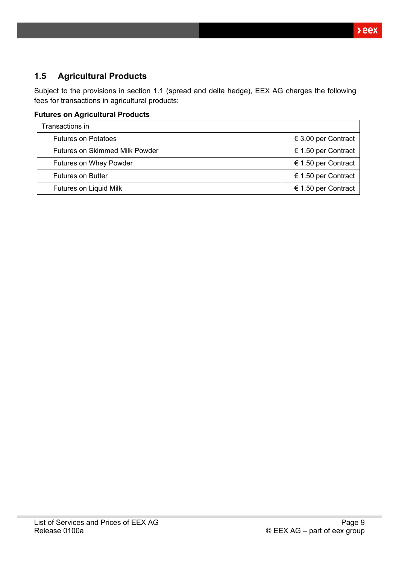### <span id="page-8-0"></span>**1.5 Agricultural Products**

Subject to the provisions in section 1.1 (spread and delta hedge), EEX AG charges the following fees for transactions in agricultural products:

### **Futures on Agricultural Products**

| Transactions in                       |                     |  |
|---------------------------------------|---------------------|--|
| <b>Futures on Potatoes</b>            | € 3.00 per Contract |  |
| <b>Futures on Skimmed Milk Powder</b> | € 1.50 per Contract |  |
| <b>Futures on Whey Powder</b>         | € 1.50 per Contract |  |
| <b>Futures on Butter</b>              | € 1.50 per Contract |  |
| Futures on Liquid Milk                | € 1.50 per Contract |  |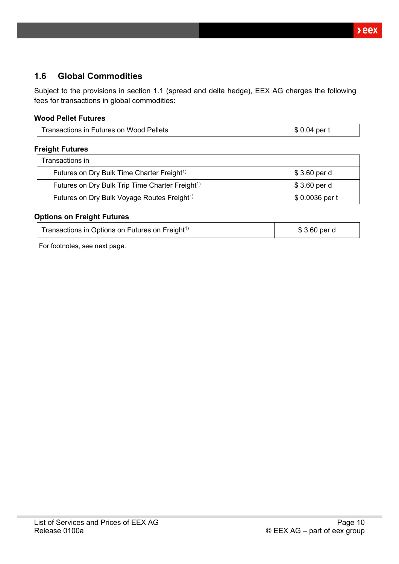### <span id="page-9-0"></span>**1.6 Global Commodities**

Subject to the provisions in section 1.1 (spread and delta hedge), EEX AG charges the following fees for transactions in global commodities:

#### **Wood Pellet Futures**

| Transactions in Futures on Wood Pellets | \$ 0.04<br>per: |
|-----------------------------------------|-----------------|
|-----------------------------------------|-----------------|

#### **Freight Futures**

| Transactions in                                             |                |
|-------------------------------------------------------------|----------------|
| Futures on Dry Bulk Time Charter Freight <sup>1)</sup>      | \$3.60 per d   |
| Futures on Dry Bulk Trip Time Charter Freight <sup>1)</sup> | \$3.60 per d   |
| Futures on Dry Bulk Voyage Routes Freight <sup>1)</sup>     | \$0.0036 per t |

#### **Options on Freight Futures**

| Transactions in Options on Futures on Freight <sup>1)</sup> | \$3.60 per d |
|-------------------------------------------------------------|--------------|
|-------------------------------------------------------------|--------------|

For footnotes, see next page.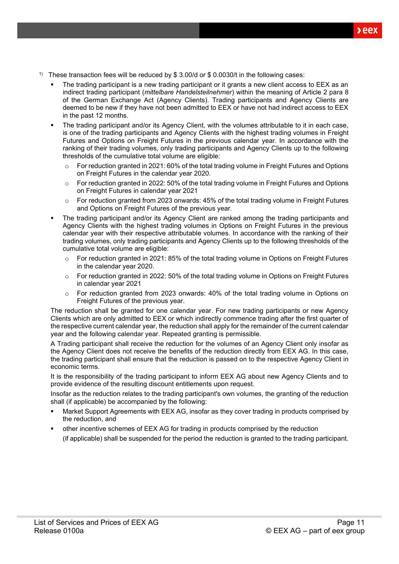- <sup>1)</sup> These transaction fees will be reduced by \$ 3.00/d or \$ 0.0030/t in the following cases:
	- The trading participant is a new trading participant or it grants a new client access to EEX as an indirect trading participant (*mittelbare Handelsteilnehmer*) within the meaning of Article 2 para 8 of the German Exchange Act (Agency Clients). Trading participants and Agency Clients are deemed to be new if they have not been admitted to EEX or have not had indirect access to EEX in the past 12 months.
	- The trading participant and/or its Agency Client, with the volumes attributable to it in each case, is one of the trading participants and Agency Clients with the highest trading volumes in Freight Futures and Options on Freight Futures in the previous calendar year. In accordance with the ranking of their trading volumes, only trading participants and Agency Clients up to the following thresholds of the cumulative total volume are eligible:
		- $\circ$  For reduction granted in 2021: 60% of the total trading volume in Freight Futures and Options on Freight Futures in the calendar year 2020.
		- o For reduction granted in 2022: 50% of the total trading volume in Freight Futures and Options on Freight Futures in calendar year 2021
		- o For reduction granted from 2023 onwards: 45% of the total trading volume in Freight Futures and Options on Freight Futures of the previous year.
	- The trading participant and/or its Agency Client are ranked among the trading participants and Agency Clients with the highest trading volumes in Options on Freight Futures in the previous calendar year with their respective attributable volumes. In accordance with the ranking of their trading volumes, only trading participants and Agency Clients up to the following thresholds of the cumulative total volume are eligible:
		- $\circ$  For reduction granted in 2021: 85% of the total trading volume in Options on Freight Futures in the calendar year 2020.
		- $\circ$  For reduction granted in 2022: 50% of the total trading volume in Options on Freight Futures in calendar year 2021
		- $\circ$  For reduction granted from 2023 onwards: 40% of the total trading volume in Options on Freight Futures of the previous year.

The reduction shall be granted for one calendar year. For new trading participants or new Agency Clients which are only admitted to EEX or which indirectly commence trading after the first quarter of the respective current calendar year, the reduction shall apply for the remainder of the current calendar year and the following calendar year. Repeated granting is permissible.

A Trading participant shall receive the reduction for the volumes of an Agency Client only insofar as the Agency Client does not receive the benefits of the reduction directly from EEX AG. In this case, the trading participant shall ensure that the reduction is passed on to the respective Agency Client in economic terms.

It is the responsibility of the trading participant to inform EEX AG about new Agency Clients and to provide evidence of the resulting discount entitlements upon request.

Insofar as the reduction relates to the trading participant's own volumes, the granting of the reduction shall (if applicable) be accompanied by the following:

- Market Support Agreements with EEX AG, insofar as they cover trading in products comprised by the reduction, and
- other incentive schemes of EEX AG for trading in products comprised by the reduction (if applicable) shall be suspended for the period the reduction is granted to the trading participant.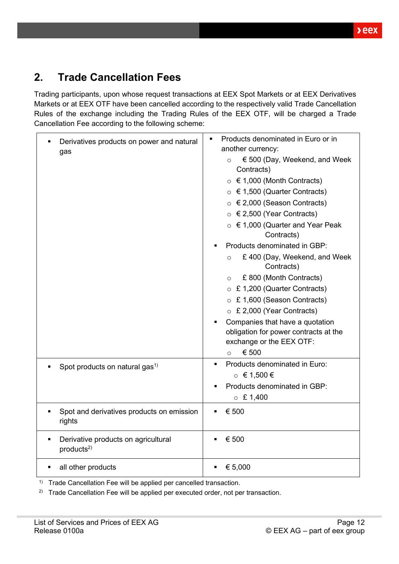## <span id="page-11-0"></span>**2. Trade Cancellation Fees**

Trading participants, upon whose request transactions at EEX Spot Markets or at EEX Derivatives Markets or at EEX OTF have been cancelled according to the respectively valid Trade Cancellation Rules of the exchange including the Trading Rules of the EEX OTF, will be charged a Trade Cancellation Fee according to the following scheme:

| Derivatives products on power and natural<br>gas                   | Products denominated in Euro or in<br>$\blacksquare$<br>another currency: |  |  |
|--------------------------------------------------------------------|---------------------------------------------------------------------------|--|--|
|                                                                    | € 500 (Day, Weekend, and Week<br>$\circ$<br>Contracts)                    |  |  |
|                                                                    | $\circ$ $\in$ 1,000 (Month Contracts)                                     |  |  |
|                                                                    | ○ $\in$ 1,500 (Quarter Contracts)                                         |  |  |
|                                                                    | $\circ$ $\in$ 2,000 (Season Contracts)                                    |  |  |
|                                                                    | ○ $\in$ 2,500 (Year Contracts)                                            |  |  |
|                                                                    | ○ $\epsilon$ 1,000 (Quarter and Year Peak<br>Contracts)                   |  |  |
|                                                                    | Products denominated in GBP:                                              |  |  |
|                                                                    | £ 400 (Day, Weekend, and Week<br>$\circ$<br>Contracts)                    |  |  |
|                                                                    | £ 800 (Month Contracts)<br>$\circ$                                        |  |  |
|                                                                    | ○ £ 1,200 (Quarter Contracts)                                             |  |  |
|                                                                    | ○ £ 1,600 (Season Contracts)                                              |  |  |
|                                                                    | $\circ$ £ 2,000 (Year Contracts)                                          |  |  |
|                                                                    | Companies that have a quotation                                           |  |  |
|                                                                    | obligation for power contracts at the                                     |  |  |
|                                                                    | exchange or the EEX OTF:                                                  |  |  |
|                                                                    | € 500<br>$\circ$                                                          |  |  |
| Spot products on natural gas <sup>1)</sup>                         | Products denominated in Euro:<br>$\blacksquare$                           |  |  |
|                                                                    | $\circ$ € 1,500 €                                                         |  |  |
|                                                                    | Products denominated in GBP:                                              |  |  |
|                                                                    | $\circ$ £ 1,400                                                           |  |  |
| Spot and derivatives products on emission<br>rights                | € 500<br>٠                                                                |  |  |
| Derivative products on agricultural<br>П<br>products <sup>2)</sup> | € 500<br>$\blacksquare$                                                   |  |  |
| all other products                                                 | € 5,000                                                                   |  |  |

<sup>1)</sup> Trade Cancellation Fee will be applied per cancelled transaction.

<sup>2)</sup> Trade Cancellation Fee will be applied per executed order, not per transaction.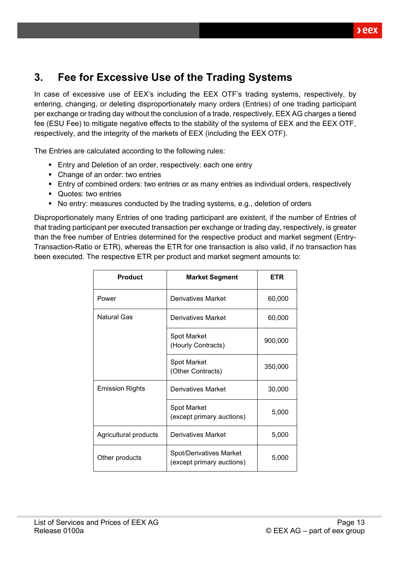# <span id="page-12-0"></span>**3. Fee for Excessive Use of the Trading Systems**

In case of excessive use of EEX's including the EEX OTF's trading systems, respectively, by entering, changing, or deleting disproportionately many orders (Entries) of one trading participant per exchange or trading day without the conclusion of a trade, respectively, EEX AG charges a tiered fee (ESU Fee) to mitigate negative effects to the stability of the systems of EEX and the EEX OTF, respectively, and the integrity of the markets of EEX (including the EEX OTF).

The Entries are calculated according to the following rules:

- Entry and Deletion of an order, respectively: each one entry
- Change of an order: two entries
- **E** Entry of combined orders: two entries or as many entries as individual orders, respectively
- Quotes: two entries
- No entry: measures conducted by the trading systems, e.g., deletion of orders

Disproportionately many Entries of one trading participant are existent, if the number of Entries of that trading participant per executed transaction per exchange or trading day, respectively, is greater than the free number of Entries determined for the respective product and market segment (Entry-Transaction-Ratio or ETR), whereas the ETR for one transaction is also valid, if no transaction has been executed. The respective ETR per product and market segment amounts to:

| <b>Product</b>         | <b>Market Segment</b>                                | ETR     |
|------------------------|------------------------------------------------------|---------|
| Power                  | <b>Derivatives Market</b>                            | 60,000  |
| <b>Natural Gas</b>     | Derivatives Market                                   | 60,000  |
|                        | Spot Market<br>(Hourly Contracts)                    | 900,000 |
|                        | Spot Market<br>(Other Contracts)                     | 350,000 |
| <b>Emission Rights</b> | Derivatives Market                                   | 30,000  |
|                        | Spot Market<br>(except primary auctions)             | 5,000   |
| Agricultural products  | Derivatives Market                                   | 5,000   |
| Other products         | Spot/Derivatives Market<br>(except primary auctions) | 5,000   |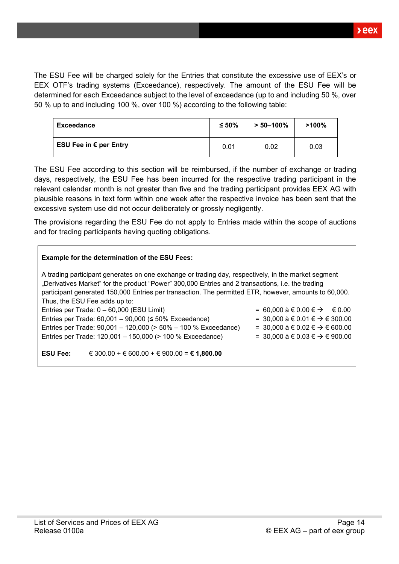The ESU Fee will be charged solely for the Entries that constitute the excessive use of EEX's or EEX OTF's trading systems (Exceedance), respectively. The amount of the ESU Fee will be determined for each Exceedance subject to the level of exceedance (up to and including 50 %, over 50 % up to and including 100 %, over 100 %) according to the following table:

| Exceedance             | $≤ 50\%$ | $> 50 - 100\%$ | $>100\%$ |
|------------------------|----------|----------------|----------|
| ESU Fee in € per Entry | 0.01     | 0.02           | 0.03     |

The ESU Fee according to this section will be reimbursed, if the number of exchange or trading days, respectively, the ESU Fee has been incurred for the respective trading participant in the relevant calendar month is not greater than five and the trading participant provides EEX AG with plausible reasons in text form within one week after the respective invoice has been sent that the excessive system use did not occur deliberately or grossly negligently.

The provisions regarding the ESU Fee do not apply to Entries made within the scope of auctions and for trading participants having quoting obligations.

| <b>Example for the determination of the ESU Fees:</b>                                                                                                                                                                                                                                                                                              |                                                                                                                                                                                    |
|----------------------------------------------------------------------------------------------------------------------------------------------------------------------------------------------------------------------------------------------------------------------------------------------------------------------------------------------------|------------------------------------------------------------------------------------------------------------------------------------------------------------------------------------|
| A trading participant generates on one exchange or trading day, respectively, in the market segment<br>"Derivatives Market" for the product "Power" 300,000 Entries and 2 transactions, i.e. the trading<br>participant generated 150,000 Entries per transaction. The permitted ETR, however, amounts to 60,000.<br>Thus, the ESU Fee adds up to: |                                                                                                                                                                                    |
| Entries per Trade: 0 - 60,000 (ESU Limit)<br>Entries per Trade: $60,001 - 90,000 \le 50\%$ Exceedance)<br>Entries per Trade: 90,001 - 120,000 (> 50% - 100 % Exceedance)<br>Entries per Trade: 120,001 - 150,000 (> 100 % Exceedance)                                                                                                              | = 60,000 à € 0.00 € $\rightarrow$ € 0.00<br>= 30,000 à € 0.01 € $\rightarrow$ € 300.00<br>= 30,000 à € 0.02 € $\rightarrow$ € 600.00<br>= 30,000 à € 0.03 € $\rightarrow$ € 900.00 |
| € 300.00 + € 600.00 + € 900.00 = € 1,800.00<br><b>ESU Fee:</b>                                                                                                                                                                                                                                                                                     |                                                                                                                                                                                    |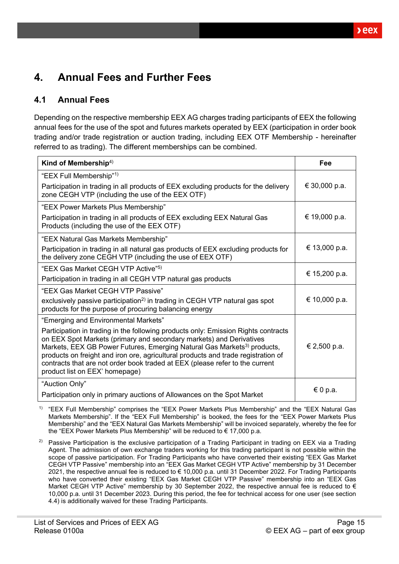# <span id="page-14-0"></span>**4. Annual Fees and Further Fees**

### <span id="page-14-1"></span>**4.1 Annual Fees**

Depending on the respective membership EEX AG charges trading participants of EEX the following annual fees for the use of the spot and futures markets operated by EEX (participation in order book trading and/or trade registration or auction trading, including EEX OTF Membership - hereinafter referred to as trading). The different memberships can be combined.

| Kind of Membership <sup>4)</sup>                                                                                                                                                                                                                                                                                                                                                                                                                        | Fee           |
|---------------------------------------------------------------------------------------------------------------------------------------------------------------------------------------------------------------------------------------------------------------------------------------------------------------------------------------------------------------------------------------------------------------------------------------------------------|---------------|
| "EEX Full Membership" <sup>1)</sup>                                                                                                                                                                                                                                                                                                                                                                                                                     |               |
| Participation in trading in all products of EEX excluding products for the delivery<br>zone CEGH VTP (including the use of the EEX OTF)                                                                                                                                                                                                                                                                                                                 | € 30,000 p.a. |
| "EEX Power Markets Plus Membership"                                                                                                                                                                                                                                                                                                                                                                                                                     |               |
| Participation in trading in all products of EEX excluding EEX Natural Gas<br>Products (including the use of the EEX OTF)                                                                                                                                                                                                                                                                                                                                | € 19,000 p.a. |
| "EEX Natural Gas Markets Membership"                                                                                                                                                                                                                                                                                                                                                                                                                    |               |
| Participation in trading in all natural gas products of EEX excluding products for<br>the delivery zone CEGH VTP (including the use of EEX OTF)                                                                                                                                                                                                                                                                                                         | € 13,000 p.a. |
| "EEX Gas Market CEGH VTP Active" <sup>5)</sup>                                                                                                                                                                                                                                                                                                                                                                                                          | € 15,200 p.a. |
| Participation in trading in all CEGH VTP natural gas products                                                                                                                                                                                                                                                                                                                                                                                           |               |
| "EEX Gas Market CEGH VTP Passive"                                                                                                                                                                                                                                                                                                                                                                                                                       |               |
| exclusively passive participation <sup>2)</sup> in trading in CEGH VTP natural gas spot<br>products for the purpose of procuring balancing energy                                                                                                                                                                                                                                                                                                       | € 10,000 p.a. |
| "Emerging and Environmental Markets"                                                                                                                                                                                                                                                                                                                                                                                                                    |               |
| Participation in trading in the following products only: Emission Rights contracts<br>on EEX Spot Markets (primary and secondary markets) and Derivatives<br>Markets, EEX GB Power Futures, Emerging Natural Gas Markets <sup>3)</sup> products,<br>products on freight and iron ore, agricultural products and trade registration of<br>contracts that are not order book traded at EEX (please refer to the current<br>product list on EEX' homepage) | € 2,500 p.a.  |
| "Auction Only"                                                                                                                                                                                                                                                                                                                                                                                                                                          |               |
| Participation only in primary auctions of Allowances on the Spot Market                                                                                                                                                                                                                                                                                                                                                                                 | € 0 p.a.      |

<sup>1)</sup> "EEX Full Membership" comprises the "EEX Power Markets Plus Membership" and the "EEX Natural Gas Markets Membership". If the "EEX Full Membership" is booked, the fees for the "EEX Power Markets Plus Membership" and the "EEX Natural Gas Markets Membership" will be invoiced separately, whereby the fee for the "EEX Power Markets Plus Membership" will be reduced to € 17,000 p.a.

<sup>2)</sup> Passive Participation is the exclusive participation of a Trading Participant in trading on EEX via a Trading Agent. The admission of own exchange traders working for this trading participant is not possible within the scope of passive participation. For Trading Participants who have converted their existing "EEX Gas Market CEGH VTP Passive" membership into an "EEX Gas Market CEGH VTP Active" membership by 31 December 2021, the respective annual fee is reduced to € 10,000 p.a. until 31 December 2022. For Trading Participants who have converted their existing "EEX Gas Market CEGH VTP Passive" membership into an "EEX Gas Market CEGH VTP Active" membership by 30 September 2022, the respective annual fee is reduced to  $\epsilon$ 10,000 p.a. until 31 December 2023. During this period, the fee for technical access for one user (see section [4.4\)](#page-17-0) is additionally waived for these Trading Participants.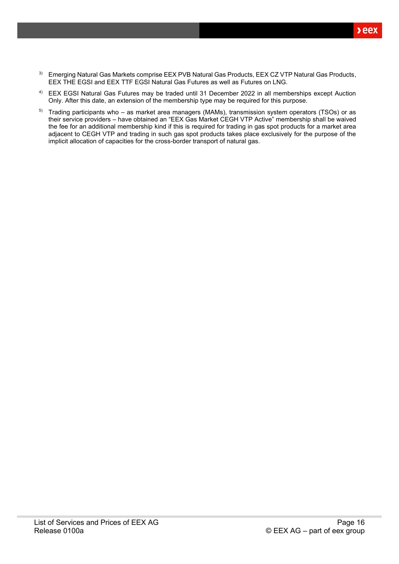- <sup>3)</sup> Emerging Natural Gas Markets comprise EEX PVB Natural Gas Products, EEX CZ VTP Natural Gas Products, EEX THE EGSI and EEX TTF EGSI Natural Gas Futures as well as Futures on LNG.
- 4) EEX EGSI Natural Gas Futures may be traded until 31 December 2022 in all memberships except Auction Only. After this date, an extension of the membership type may be required for this purpose.
- 5) Trading participants who as market area managers (MAMs), transmission system operators (TSOs) or as their service providers – have obtained an "EEX Gas Market CEGH VTP Active" membership shall be waived the fee for an additional membership kind if this is required for trading in gas spot products for a market area adjacent to CEGH VTP and trading in such gas spot products takes place exclusively for the purpose of the implicit allocation of capacities for the cross-border transport of natural gas.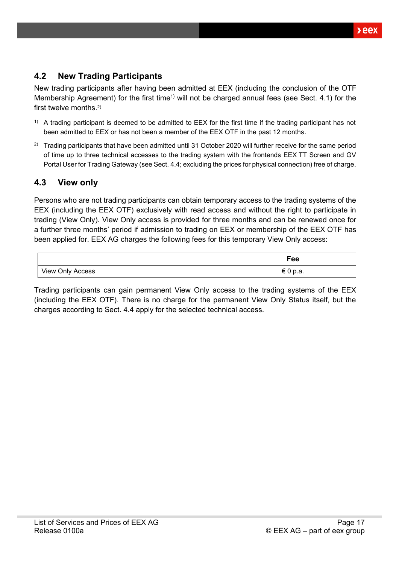### <span id="page-16-0"></span>**4.2 New Trading Participants**

New trading participants after having been admitted at EEX (including the conclusion of the OTF Membership Agreement) for the first time<sup>1)</sup> will not be charged annual fees (see Sect. [4.1\)](#page-14-1) for the first twelve months.<sup>2)</sup>

- $1)$  A trading participant is deemed to be admitted to EEX for the first time if the trading participant has not been admitted to EEX or has not been a member of the EEX OTF in the past 12 months.
- <sup>2)</sup> Trading participants that have been admitted until 31 October 2020 will further receive for the same period of time up to three technical accesses to the trading system with the frontends EEX TT Screen and GV Portal User for Trading Gateway (see Sect[. 4.4;](#page-17-0) excluding the prices for physical connection) free of charge.

### <span id="page-16-1"></span>**4.3 View only**

Persons who are not trading participants can obtain temporary access to the trading systems of the EEX (including the EEX OTF) exclusively with read access and without the right to participate in trading (View Only). View Only access is provided for three months and can be renewed once for a further three months' period if admission to trading on EEX or membership of the EEX OTF has been applied for. EEX AG charges the following fees for this temporary View Only access:

|                  | Fee      |
|------------------|----------|
| View Only Access | € 0 p.a. |

Trading participants can gain permanent View Only access to the trading systems of the EEX (including the EEX OTF). There is no charge for the permanent View Only Status itself, but the charges according to Sect. [4.4](#page-17-0) apply for the selected technical access.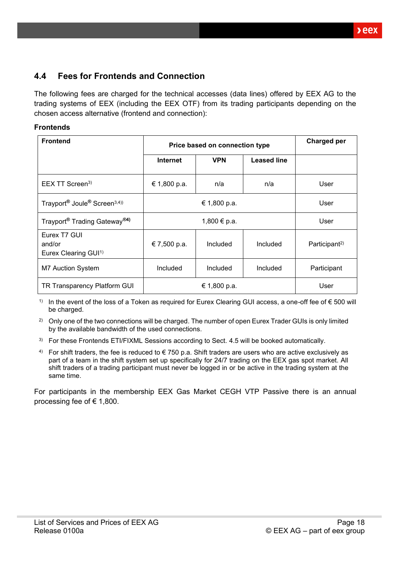### <span id="page-17-0"></span>**4.4 Fees for Frontends and Connection**

The following fees are charged for the technical accesses (data lines) offered by EEX AG to the trading systems of EEX (including the EEX OTF) from its trading participants depending on the chosen access alternative (frontend and connection):

#### **Frontends**

| <b>Frontend</b>                                                  | Price based on connection type |            |                    | Charged per               |
|------------------------------------------------------------------|--------------------------------|------------|--------------------|---------------------------|
|                                                                  | <b>Internet</b>                | <b>VPN</b> | <b>Leased line</b> |                           |
| $EEX$ TT Screen <sup>3)</sup>                                    | € 1,800 p.a.                   | n/a        | n/a                | User                      |
| Trayport <sup>®</sup> Joule <sup>®</sup> Screen <sup>3,4))</sup> | € 1,800 p.a.                   |            |                    | User                      |
| Trayport <sup>®</sup> Trading Gateway <sup>®4)</sup>             | 1,800 € p.a.                   |            |                    | User                      |
| Eurex T7 GUI<br>and/or<br>Eurex Clearing GUI <sup>1)</sup>       | € 7,500 p.a.                   | Included   | Included           | Participant <sup>2)</sup> |
| <b>M7 Auction System</b>                                         | Included                       | Included   | Included           | Participant               |
| TR Transparency Platform GUI                                     | € 1,800 p.a.                   |            |                    | User                      |

1) In the event of the loss of a Token as required for Eurex Clearing GUI access, a one-off fee of  $\epsilon$  500 will be charged.

<sup>2)</sup> Only one of the two connections will be charged. The number of open Eurex Trader GUIs is only limited by the available bandwidth of the used connections.

- <sup>3)</sup> For these Frontends ETI/FIXML Sessions according to Sect. [4.5](#page-20-0) will be booked automatically.
- 4) For shift traders, the fee is reduced to  $\epsilon$  750 p.a. Shift traders are users who are active exclusively as part of a team in the shift system set up specifically for 24/7 trading on the EEX gas spot market. All shift traders of a trading participant must never be logged in or be active in the trading system at the same time.

For participants in the membership EEX Gas Market CEGH VTP Passive there is an annual processing fee of  $\in$  1,800.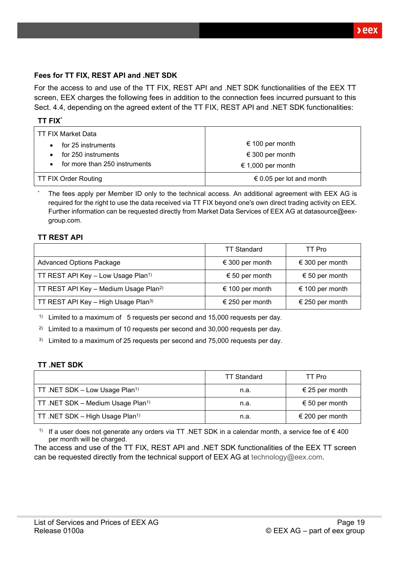$xeex$ 

#### **Fees for TT FIX, REST API and .NET SDK**

For the access to and use of the TT FIX, REST API and .NET SDK functionalities of the EEX TT screen, EEX charges the following fees in addition to the connection fees incurred pursuant to this Sect. [4.4,](#page-17-0) depending on the agreed extent of the TT FIX, REST API and .NET SDK functionalities:

| TT FIX Market Data                         |                          |
|--------------------------------------------|--------------------------|
| for 25 instruments                         | € 100 per month          |
| for 250 instruments                        | € 300 per month          |
| for more than 250 instruments<br>$\bullet$ | € 1,000 per month        |
| <b>TT FIX Order Routing</b>                | € 0.05 per lot and month |

The fees apply per Member ID only to the technical access. An additional agreement with EEX AG is required for the right to use the data received via TT FIX beyond one's own direct trading activity on EEX. Further information can be requested directly from Market Data Services of EEX AG at datasource@eexgroup.com.

#### **TT REST API**

|                                                   | <b>TT Standard</b> | TT Pro          |
|---------------------------------------------------|--------------------|-----------------|
| <b>Advanced Options Package</b>                   | € 300 per month    | € 300 per month |
| TT REST API Key - Low Usage Plan <sup>1)</sup>    | € 50 per month     | € 50 per month  |
| TT REST API Key - Medium Usage Plan <sup>2)</sup> | € 100 per month    | € 100 per month |
| TT REST API Key - High Usage Plan <sup>3)</sup>   | € 250 per month    | € 250 per month |

<sup>1)</sup> Limited to a maximum of 5 requests per second and 15,000 requests per day.

<sup>2)</sup> Limited to a maximum of 10 requests per second and 30,000 requests per day.

 $3)$  Limited to a maximum of 25 requests per second and 75,000 requests per day.

#### **TT .NET SDK**

|                                               | <b>TT Standard</b> | TT Pro          |
|-----------------------------------------------|--------------------|-----------------|
| TT .NET SDK - Low Usage Plan <sup>1)</sup>    | n.a.               | € 25 per month  |
| TT .NET SDK - Medium Usage Plan <sup>1)</sup> | n.a.               | € 50 per month  |
| TT .NET SDK - High Usage Plan <sup>1)</sup>   | n.a.               | € 200 per month |

1) If a user does not generate any orders via TT .NET SDK in a calendar month, a service fee of  $\epsilon$  400 per month will be charged.

The access and use of the TT FIX, REST API and .NET SDK functionalities of the EEX TT screen can be requested directly from the technical support of EEX AG at [technology@eex.com.](mailto:technology@eex.com)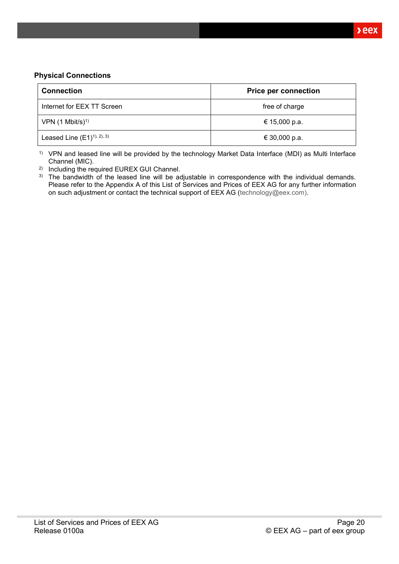#### **Physical Connections**

| <b>Connection</b>            | <b>Price per connection</b> |  |
|------------------------------|-----------------------------|--|
| Internet for EEX TT Screen   | free of charge              |  |
| VPN $(1 \text{ Mbit/s})^{1}$ | € 15,000 p.a.               |  |
| Leased Line $(E1)^{1,2,3}$   | € 30,000 p.a.               |  |

1) VPN and leased line will be provided by the technology Market Data Interface (MDI) as Multi Interface Channel (MIC).

2) Including the required EUREX GUI Channel.

<sup>3)</sup> The bandwidth of the leased line will be adjustable in correspondence with the individual demands. Please refer to the Appendix A of this List of Services and Prices of EEX AG for any further information on such adjustment or contact the technical support of EEX AG [\(technology@eex.com\)](mailto:technology@eex.com).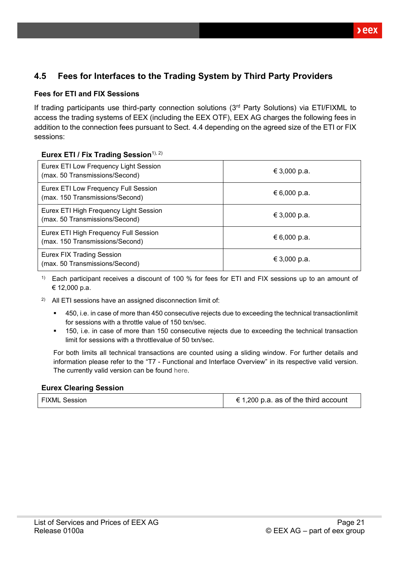### <span id="page-20-0"></span>**4.5 Fees for Interfaces to the Trading System by Third Party Providers**

#### **Fees for ETI and FIX Sessions**

If trading participants use third-party connection solutions (3rd Party Solutions) via ETI/FIXML to access the trading systems of EEX (including the EEX OTF), EEX AG charges the following fees in addition to the connection fees pursuant to Sect. [4.4](#page-17-0) depending on the agreed size of the ETI or FIX sessions:

#### **Eurex ETI / Fix Trading Session**<sup>1), 2)</sup>

| Eurex ETI Low Frequency Light Session<br>(max. 50 Transmissions/Second)  | € 3,000 p.a. |
|--------------------------------------------------------------------------|--------------|
| Eurex ETI Low Frequency Full Session<br>(max. 150 Transmissions/Second)  | € 6,000 p.a. |
| Eurex ETI High Frequency Light Session<br>(max. 50 Transmissions/Second) | € 3,000 p.a. |
| Eurex ETI High Frequency Full Session<br>(max. 150 Transmissions/Second) | € 6,000 p.a. |
| <b>Eurex FIX Trading Session</b><br>(max. 50 Transmissions/Second)       | € 3,000 p.a. |

<sup>1)</sup> Each participant receives a discount of 100 % for fees for ETI and FIX sessions up to an amount of € 12,000 p.a.

- 2) All ETI sessions have an assigned disconnection limit of:
	- 450, i.e. in case of more than 450 consecutive rejects due to exceeding the technical transactionlimit for sessions with a throttle value of 150 txn/sec.
	- 150, i.e. in case of more than 150 consecutive rejects due to exceeding the technical transaction limit for sessions with a throttlevalue of 50 txn/sec.

For both limits all technical transactions are counted using a sliding window. For further details and information please refer to the "T7 - Functional and Interface Overview" in its respective valid version. The currently valid version can be found [here.](https://www.eurexchange.com/exchange-en/technology/t7)

#### **Eurex Clearing Session**

| <b>FIXML Session</b> | € 1,200 p.a. as of the third account |
|----------------------|--------------------------------------|
|----------------------|--------------------------------------|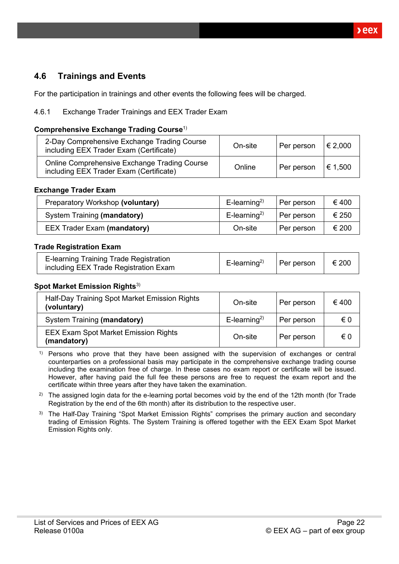### <span id="page-21-0"></span>**4.6 Trainings and Events**

For the participation in trainings and other events the following fees will be charged.

#### <span id="page-21-1"></span>4.6.1 Exchange Trader Trainings and EEX Trader Exam

#### **Comprehensive Exchange Trading Course**1)

| 2-Day Comprehensive Exchange Trading Course<br>including EEX Trader Exam (Certificate)  | On-site | Per person | € 2,000 |
|-----------------------------------------------------------------------------------------|---------|------------|---------|
| Online Comprehensive Exchange Trading Course<br>including EEX Trader Exam (Certificate) | Online  | Per person | € 1,500 |

#### **Exchange Trader Exam**

| Preparatory Workshop (voluntary)   | $E$ -learning <sup>2)</sup> | Per person | €400  |
|------------------------------------|-----------------------------|------------|-------|
| System Training (mandatory)        | $E$ -learning <sup>2)</sup> | Per person | € 250 |
| <b>EEX Trader Exam (mandatory)</b> | On-site                     | Per person | € 200 |

#### **Trade Registration Exam**

| E-learning Training Trade Registration<br>including EEX Trade Registration Exam | E-learning <sup>2)</sup>   Per person   $\in$ 200 |  |  |
|---------------------------------------------------------------------------------|---------------------------------------------------|--|--|
|---------------------------------------------------------------------------------|---------------------------------------------------|--|--|

#### **Spot Market Emission Rights**<sup>3)</sup>

| Half-Day Training Spot Market Emission Rights<br>(voluntary) | On-site                     | Per person | €400 |
|--------------------------------------------------------------|-----------------------------|------------|------|
| System Training (mandatory)                                  | $E$ -learning <sup>2)</sup> | Per person | € 0  |
| <b>EEX Exam Spot Market Emission Rights</b><br>(mandatory)   | On-site                     | Per person | € 0  |

 $1)$  Persons who prove that they have been assigned with the supervision of exchanges or central counterparties on a professional basis may participate in the comprehensive exchange trading course including the examination free of charge. In these cases no exam report or certificate will be issued. However, after having paid the full fee these persons are free to request the exam report and the certificate within three years after they have taken the examination.

<sup>2)</sup> The assigned login data for the e-learning portal becomes void by the end of the 12th month (for Trade Registration by the end of the 6th month) after its distribution to the respective user.

<sup>3)</sup> The Half-Day Training "Spot Market Emission Rights" comprises the primary auction and secondary trading of Emission Rights. The System Training is offered together with the EEX Exam Spot Market Emission Rights only.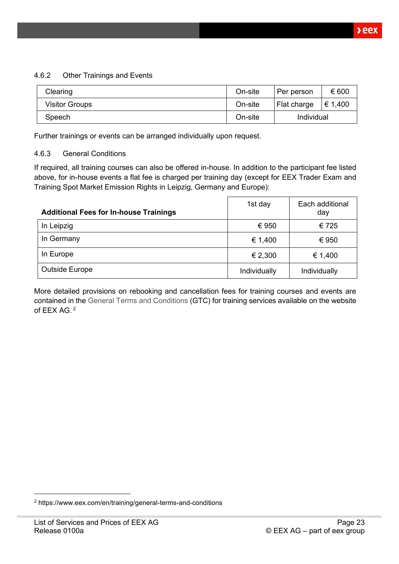#### <span id="page-22-0"></span>4.6.2 Other Trainings and Events

| Clearing              | On-site | Per person  | € 600   |
|-----------------------|---------|-------------|---------|
| <b>Visitor Groups</b> | On-site | Flat charge | € 1,400 |
| Speech                | On-site | Individual  |         |

Further trainings or events can be arranged individually upon request.

#### <span id="page-22-1"></span>4.6.3 General Conditions

If required, all training courses can also be offered in-house. In addition to the participant fee listed above, for in-house events a flat fee is charged per training day (except for EEX Trader Exam and Training Spot Market Emission Rights in Leipzig, Germany and Europe):

| <b>Additional Fees for In-house Trainings</b> | 1st day      | Each additional<br>day |
|-----------------------------------------------|--------------|------------------------|
| In Leipzig                                    | € 950        | €725                   |
| In Germany                                    | € 1,400      | € 950                  |
| In Europe                                     | € 2,300      | € 1,400                |
| <b>Outside Europe</b>                         | Individually | Individually           |

More detailed provisions on rebooking and cancellation fees for training courses and events are contained in the [General Terms and Conditions](https://www.eex.com/en/training/general-terms-and-conditions) (GTC) for training services available on the website of EEX AG. <sup>2</sup>

<sup>2</sup> https://www.eex.com/en/training/general-terms-and-conditions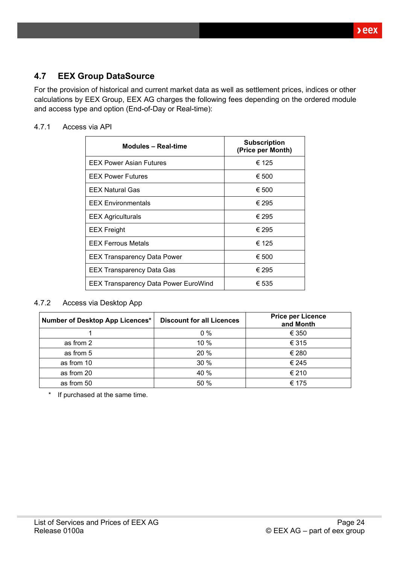### <span id="page-23-0"></span>**4.7 EEX Group DataSource**

For the provision of historical and current market data as well as settlement prices, indices or other calculations by EEX Group, EEX AG charges the following fees depending on the ordered module and access type and option (End-of-Day or Real-time):

#### <span id="page-23-1"></span>4.7.1 Access via API

| <b>Modules - Real-time</b>                  | <b>Subscription</b><br>(Price per Month) |
|---------------------------------------------|------------------------------------------|
| <b>EEX Power Asian Futures</b>              | € 125                                    |
| <b>EEX Power Futures</b>                    | € 500                                    |
| <b>EEX Natural Gas</b>                      | € 500                                    |
| <b>EEX Environmentals</b>                   | € 295                                    |
| <b>EEX Agriculturals</b>                    | € 295                                    |
| <b>EEX Freight</b>                          | € 295                                    |
| <b>EEX Ferrous Metals</b>                   | € 125                                    |
| <b>EEX Transparency Data Power</b>          | € 500                                    |
| <b>EEX Transparency Data Gas</b>            | € 295                                    |
| <b>EEX Transparency Data Power EuroWind</b> | € 535                                    |

#### <span id="page-23-2"></span>4.7.2 Access via Desktop App

| Number of Desktop App Licences* | <b>Discount for all Licences</b> | <b>Price per Licence</b><br>and Month |
|---------------------------------|----------------------------------|---------------------------------------|
|                                 | $0\%$                            | € 350                                 |
| as from 2                       | 10 %                             | € 315                                 |
| as from 5                       | 20 %                             | € 280                                 |
| as from 10                      | 30 %                             | € 245                                 |
| as from 20                      | 40 %                             | € 210                                 |
| as from 50                      | 50 %                             | € 175                                 |

\* If purchased at the same time.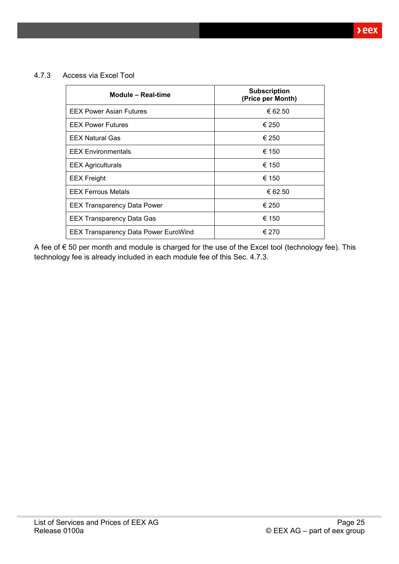<span id="page-24-0"></span>4.7.3 Access via Excel Tool

| Module - Real-time                          | <b>Subscription</b><br>(Price per Month) |
|---------------------------------------------|------------------------------------------|
| <b>EEX Power Asian Futures</b>              | € 62.50                                  |
| <b>EEX Power Futures</b>                    | € 250                                    |
| <b>EEX Natural Gas</b>                      | € 250                                    |
| <b>EEX Environmentals</b>                   | € 150                                    |
| <b>EEX Agriculturals</b>                    | € 150                                    |
| <b>EEX</b> Freight                          | € 150                                    |
| <b>EEX Ferrous Metals</b>                   | € 62.50                                  |
| <b>EEX Transparency Data Power</b>          | € 250                                    |
| <b>EEX Transparency Data Gas</b>            | € 150                                    |
| <b>EEX Transparency Data Power EuroWind</b> | € 270                                    |

A fee of € 50 per month and module is charged for the use of the Excel tool (technology fee). This technology fee is already included in each module fee of this Sec. [4.7.3.](#page-24-0)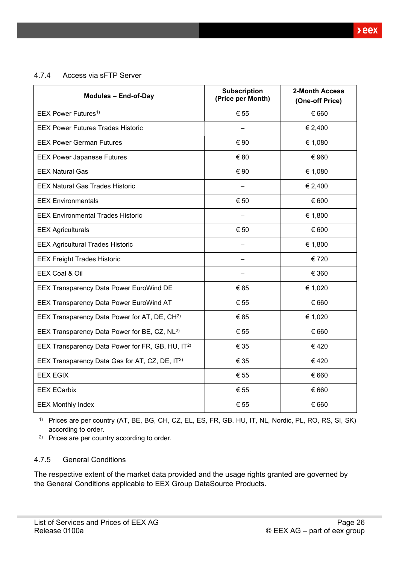<span id="page-25-0"></span>4.7.4 Access via sFTP Server

| <b>Modules - End-of-Day</b>                                  | <b>Subscription</b><br>(Price per Month) | 2-Month Access<br>(One-off Price) |
|--------------------------------------------------------------|------------------------------------------|-----------------------------------|
| EEX Power Futures <sup>1)</sup>                              | € 55                                     | € 660                             |
| <b>EEX Power Futures Trades Historic</b>                     |                                          | € 2,400                           |
| <b>EEX Power German Futures</b>                              | € 90                                     | € 1,080                           |
| <b>EEX Power Japanese Futures</b>                            | € 80                                     | € 960                             |
| <b>EEX Natural Gas</b>                                       | € 90                                     | € 1,080                           |
| <b>EEX Natural Gas Trades Historic</b>                       |                                          | € 2,400                           |
| <b>EEX Environmentals</b>                                    | € 50                                     | € 600                             |
| <b>EEX Environmental Trades Historic</b>                     |                                          | € 1,800                           |
| <b>EEX Agriculturals</b>                                     | € 50                                     | € 600                             |
| <b>EEX Agricultural Trades Historic</b>                      |                                          | € 1,800                           |
| <b>EEX Freight Trades Historic</b>                           |                                          | € 720                             |
| EEX Coal & Oil                                               |                                          | € 360                             |
| EEX Transparency Data Power EuroWind DE                      | € 85                                     | € 1,020                           |
| <b>EEX Transparency Data Power EuroWind AT</b>               | € 55                                     | € 660                             |
| EEX Transparency Data Power for AT, DE, CH <sup>2)</sup>     | € 85                                     | € 1,020                           |
| EEX Transparency Data Power for BE, CZ, NL <sup>2)</sup>     | € 55                                     | € 660                             |
| EEX Transparency Data Power for FR, GB, HU, IT <sup>2)</sup> | € 35                                     | €420                              |
| EEX Transparency Data Gas for AT, CZ, DE, IT <sup>2)</sup>   | € 35                                     | €420                              |
| <b>EEX EGIX</b>                                              | € 55                                     | € 660                             |
| <b>EEX ECarbix</b>                                           | € 55                                     | € 660                             |
| <b>EEX Monthly Index</b>                                     | € 55                                     | € 660                             |

1) Prices are per country (AT, BE, BG, CH, CZ, EL, ES, FR, GB, HU, IT, NL, Nordic, PL, RO, RS, SI, SK) according to order.

2) Prices are per country according to order.

#### <span id="page-25-1"></span>4.7.5 General Conditions

The respective extent of the market data provided and the usage rights granted are governed by the General Conditions applicable to EEX Group DataSource Products.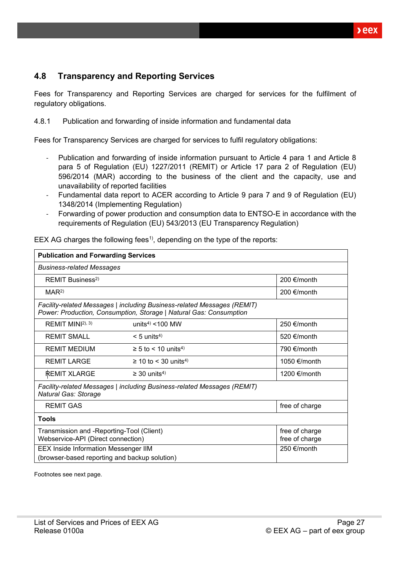### <span id="page-26-0"></span>**4.8 Transparency and Reporting Services**

Fees for Transparency and Reporting Services are charged for services for the fulfilment of regulatory obligations.

<span id="page-26-1"></span>4.8.1 Publication and forwarding of inside information and fundamental data

Fees for Transparency Services are charged for services to fulfil regulatory obligations:

- Publication and forwarding of inside information pursuant to Article 4 para 1 and Article 8 para 5 of Regulation (EU) 1227/2011 (REMIT) or Article 17 para 2 of Regulation (EU) 596/2014 (MAR) according to the business of the client and the capacity, use and unavailability of reported facilities
- Fundamental data report to ACER according to Article 9 para 7 and 9 of Regulation (EU) 1348/2014 (Implementing Regulation)
- Forwarding of power production and consumption data to ENTSO-E in accordance with the requirements of Regulation (EU) 543/2013 (EU Transparency Regulation)

| <b>Publication and Forwarding Services</b>                                                                          |                                                                                                                                               |                       |  |  |  |
|---------------------------------------------------------------------------------------------------------------------|-----------------------------------------------------------------------------------------------------------------------------------------------|-----------------------|--|--|--|
| <b>Business-related Messages</b>                                                                                    |                                                                                                                                               |                       |  |  |  |
| REMIT Business <sup>2)</sup>                                                                                        | 200 €/month                                                                                                                                   |                       |  |  |  |
| MAR <sup>2</sup>                                                                                                    |                                                                                                                                               | 200 €/month           |  |  |  |
|                                                                                                                     | Facility-related Messages   including Business-related Messages (REMIT)<br>Power: Production, Consumption, Storage   Natural Gas: Consumption |                       |  |  |  |
| REMIT MIN $ 2\rangle$ , 3)                                                                                          | units <sup>4)</sup> < $100$ MW                                                                                                                | 250 €/month           |  |  |  |
| <b>REMIT SMALL</b>                                                                                                  | $< 5$ units <sup>4)</sup>                                                                                                                     | 520 $\epsilon$ /month |  |  |  |
| <b>REMIT MEDIUM</b>                                                                                                 | $\geq$ 5 to < 10 units <sup>4)</sup>                                                                                                          | 790 $\epsilon$ /month |  |  |  |
| <b>REMIT LARGE</b>                                                                                                  | $\geq$ 10 to < 30 units <sup>4)</sup>                                                                                                         | 1050 €/month          |  |  |  |
| <b>REMIT XLARGE</b>                                                                                                 | $\geq$ 30 units <sup>4)</sup>                                                                                                                 | 1200 €/month          |  |  |  |
| Facility-related Messages   including Business-related Messages (REMIT)<br><b>Natural Gas: Storage</b>              |                                                                                                                                               |                       |  |  |  |
| <b>REMIT GAS</b><br>free of charge                                                                                  |                                                                                                                                               |                       |  |  |  |
| Tools                                                                                                               |                                                                                                                                               |                       |  |  |  |
| Transmission and -Reporting-Tool (Client)<br>free of charge<br>Webservice-API (Direct connection)<br>free of charge |                                                                                                                                               |                       |  |  |  |
| <b>EEX Inside Information Messenger IIM</b>                                                                         | 250 €/month                                                                                                                                   |                       |  |  |  |
| (browser-based reporting and backup solution)                                                                       |                                                                                                                                               |                       |  |  |  |

EEX AG charges the following fees<sup>1</sup>, depending on the type of the reports:

Footnotes see next page.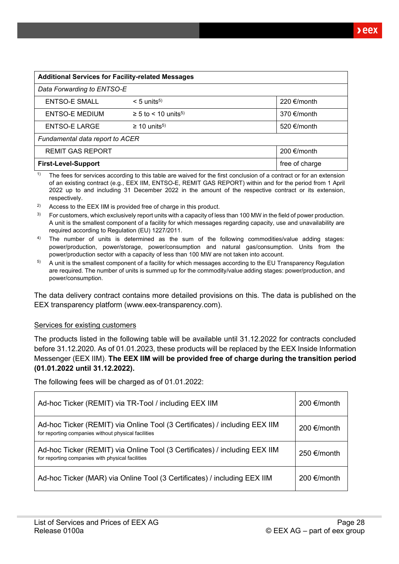| <b>Additional Services for Facility-related Messages</b> |                                      |                       |  |  |  |
|----------------------------------------------------------|--------------------------------------|-----------------------|--|--|--|
| Data Forwarding to ENTSO-E                               |                                      |                       |  |  |  |
| <b>ENTSO-E SMALL</b>                                     | $< 5$ units <sup>5)</sup>            | 220 €/month           |  |  |  |
| <b>ENTSO-E MEDIUM</b>                                    | $\geq$ 5 to < 10 units <sup>5)</sup> | 370 $\epsilon$ /month |  |  |  |
| ENTSO-E LARGE                                            | $\geq$ 10 units <sup>5)</sup>        | 520 €/month           |  |  |  |
| Fundamental data report to ACER                          |                                      |                       |  |  |  |
| 200 €/month<br><b>REMIT GAS REPORT</b>                   |                                      |                       |  |  |  |
| free of charge<br><b>First-Level-Support</b>             |                                      |                       |  |  |  |

<sup>1)</sup> The fees for services according to this table are waived for the first conclusion of a contract or for an extension of an existing contract (e.g., EEX IIM, ENTSO-E, REMIT GAS REPORT) within and for the period from 1 April 2022 up to and including 31 December 2022 in the amount of the respective contract or its extension, respectively.

- $2)$  Access to the EEX IIM is provided free of charge in this product.
- For customers, which exclusively report units with a capacity of less than 100 MW in the field of power production. A unit is the smallest component of a facility for which messages regarding capacity, use and unavailability are required according to Regulation (EU) 1227/2011.
- <sup>4)</sup> The number of units is determined as the sum of the following commodities/value adding stages: power/production, power/storage, power/consumption and natural gas/consumption. Units from the power/production sector with a capacity of less than 100 MW are not taken into account.
- $5$  A unit is the smallest component of a facility for which messages according to the EU Transparency Regulation are required. The number of units is summed up for the commodity/value adding stages: power/production, and power/consumption.

The data delivery contract contains more detailed provisions on this. The data is published on the EEX transparency platform [\(www.eex-transparency.com\)](http://www.eex-transparency.com/).

#### Services for existing customers

The products listed in the following table will be available until 31.12.2022 for contracts concluded before 31.12.2020. As of 01.01.2023, these products will be replaced by the EEX Inside Information Messenger (EEX IIM). **The EEX IIM will be provided free of charge during the transition period (01.01.2022 until 31.12.2022).**

The following fees will be charged as of 01.01.2022:

| Ad-hoc Ticker (REMIT) via TR-Tool / including EEX IIM                                                                             | 200 €/month |
|-----------------------------------------------------------------------------------------------------------------------------------|-------------|
| Ad-hoc Ticker (REMIT) via Online Tool (3 Certificates) / including EEX IIM<br>for reporting companies without physical facilities | 200 €/month |
| Ad-hoc Ticker (REMIT) via Online Tool (3 Certificates) / including EEX IIM<br>for reporting companies with physical facilities    | 250 €/month |
| Ad-hoc Ticker (MAR) via Online Tool (3 Certificates) / including EEX IIM                                                          | 200 €/month |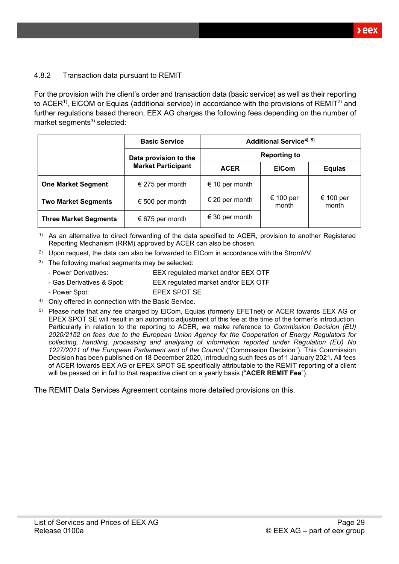#### <span id="page-28-0"></span>4.8.2 Transaction data pursuant to REMIT

For the provision with the client's order and transaction data (basic service) as well as their reporting to ACER<sup>1)</sup>, EICOM or Equias (additional service) in accordance with the provisions of REMIT<sup>2)</sup> and further regulations based thereon, EEX AG charges the following fees depending on the number of market segments $3)$  selected:

|                              | <b>Basic Service</b>      | Additional Service <sup>4), 5)</sup> |                             |               |  |           |
|------------------------------|---------------------------|--------------------------------------|-----------------------------|---------------|--|-----------|
|                              | Data provision to the     | <b>Reporting to</b>                  |                             |               |  |           |
|                              | <b>Market Participant</b> | <b>ACER</b>                          | <b>EICom</b>                | <b>Equias</b> |  |           |
| <b>One Market Segment</b>    | € 275 per month           | € 10 per month                       |                             |               |  |           |
| <b>Two Market Segments</b>   | € 500 per month           | € 20 per month                       | € 100 per<br>month<br>month |               |  | € 100 per |
| <b>Three Market Segments</b> | € 675 per month           | € 30 per month                       |                             |               |  |           |

1) As an alternative to direct forwarding of the data specified to ACER, provision to another Registered Reporting Mechanism (RRM) approved by ACER can also be chosen.

- <sup>2)</sup> Upon request, the data can also be forwarded to ElCom in accordance with the StromVV.
- $3)$  The following market segments may be selected:
	- Power Derivatives: EEX regulated market and/or EEX OTF
	- Gas Derivatives & Spot: EEX regulated market and/or EEX OTF
	- Power Spot: EPEX SPOT SE
- 4) Only offered in connection with the Basic Service.
- <sup>5)</sup> Please note that any fee charged by ElCom, Equias (formerly EFETnet) or ACER towards EEX AG or EPEX SPOT SE will result in an automatic adjustment of this fee at the time of the former's introduction. Particularly in relation to the reporting to ACER, we make reference to *Commission Decision (EU) 2020/2152 on fees due to the European Union Agency for the Cooperation of Energy Regulators for collecting, handling, processing and analysing of information reported under Regulation (EU) No 1227/2011 of the European Parliament and of the Council* ("Commission Decision"). This Commission Decision has been published on 18 December 2020, introducing such fees as of 1 January 2021. All fees of ACER towards EEX AG or EPEX SPOT SE specifically attributable to the REMIT reporting of a client will be passed on in full to that respective client on a yearly basis ("**ACER REMIT Fee**").

The REMIT Data Services Agreement contains more detailed provisions on this.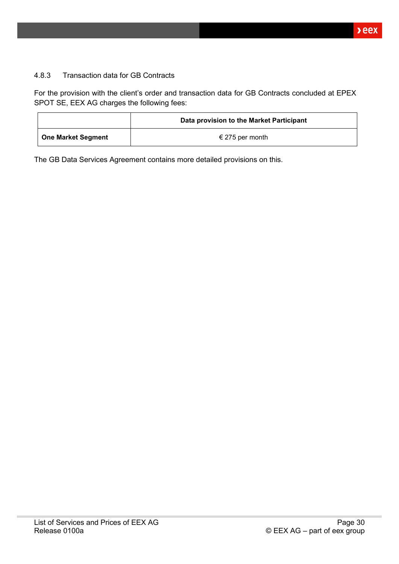#### <span id="page-29-0"></span>4.8.3 Transaction data for GB Contracts

For the provision with the client's order and transaction data for GB Contracts concluded at EPEX SPOT SE, EEX AG charges the following fees:

|                    | Data provision to the Market Participant |  |  |
|--------------------|------------------------------------------|--|--|
| One Market Segment | € 275 per month                          |  |  |

The GB Data Services Agreement contains more detailed provisions on this.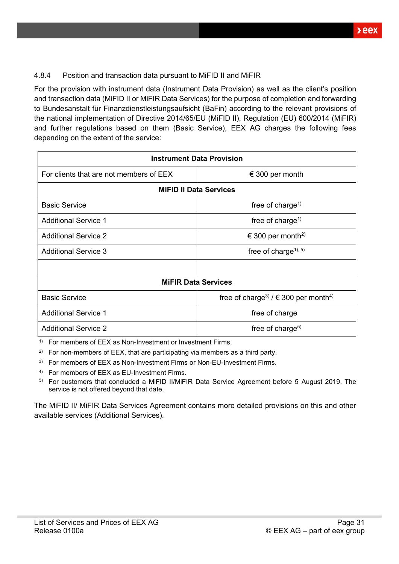#### <span id="page-30-0"></span>4.8.4 Position and transaction data pursuant to MiFID II and MiFIR

For the provision with instrument data (Instrument Data Provision) as well as the client's position and transaction data (MiFID II or MiFIR Data Services) for the purpose of completion and forwarding to Bundesanstalt für Finanzdienstleistungsaufsicht (BaFin) according to the relevant provisions of the national implementation of Directive 2014/65/EU (MiFID II), Regulation (EU) 600/2014 (MiFIR) and further regulations based on them (Basic Service), EEX AG charges the following fees depending on the extent of the service:

| <b>Instrument Data Provision</b>                            |                                                                  |  |  |  |  |
|-------------------------------------------------------------|------------------------------------------------------------------|--|--|--|--|
| For clients that are not members of EEX<br>€ 300 per month  |                                                                  |  |  |  |  |
| <b>MiFID II Data Services</b>                               |                                                                  |  |  |  |  |
| <b>Basic Service</b>                                        | free of charge <sup>1)</sup>                                     |  |  |  |  |
| <b>Additional Service 1</b><br>free of charge <sup>1)</sup> |                                                                  |  |  |  |  |
| <b>Additional Service 2</b>                                 | € 300 per month <sup>2)</sup>                                    |  |  |  |  |
| <b>Additional Service 3</b>                                 | free of charge <sup><math>1</math>), <math>5</math>)</sup>       |  |  |  |  |
|                                                             |                                                                  |  |  |  |  |
|                                                             | <b>MIFIR Data Services</b>                                       |  |  |  |  |
| <b>Basic Service</b>                                        | free of charge <sup>3)</sup> / $\in$ 300 per month <sup>4)</sup> |  |  |  |  |
| <b>Additional Service 1</b><br>free of charge               |                                                                  |  |  |  |  |
| <b>Additional Service 2</b><br>free of charge <sup>5)</sup> |                                                                  |  |  |  |  |

<sup>1)</sup> For members of EEX as Non-Investment or Investment Firms.

<sup>2)</sup> For non-members of EEX, that are participating via members as a third party.

<sup>3)</sup> For members of EEX as Non-Investment Firms or Non-EU-Investment Firms.

4) For members of EEX as EU-Investment Firms.

5) For customers that concluded a MiFID II/MiFIR Data Service Agreement before 5 August 2019. The service is not offered beyond that date.

The MiFID II/ MiFIR Data Services Agreement contains more detailed provisions on this and other available services (Additional Services).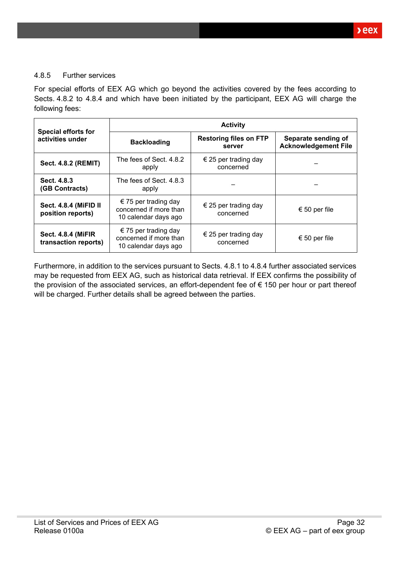#### <span id="page-31-0"></span>4.8.5 Further services

For special efforts of EEX AG which go beyond the activities covered by the fees according to Sects. [4.8.2](#page-28-0) to [4.8.4](#page-30-0) and which have been initiated by the participant, EEX AG will charge the following fees:

|                                                   | <b>Activity</b>                                                        |                                         |                                                    |  |
|---------------------------------------------------|------------------------------------------------------------------------|-----------------------------------------|----------------------------------------------------|--|
| <b>Special efforts for</b><br>activities under    | <b>Backloading</b>                                                     | <b>Restoring files on FTP</b><br>server | Separate sending of<br><b>Acknowledgement File</b> |  |
| <b>Sect. 4.8.2 (REMIT)</b>                        | The fees of Sect. 4.8.2<br>€ 25 per trading day<br>concerned<br>apply  |                                         |                                                    |  |
| Sect. 4.8.3<br>(GB Contracts)                     | The fees of Sect. 4.8.3<br>apply                                       |                                         |                                                    |  |
| Sect. 4.8.4 (MiFID II<br>position reports)        | € 75 per trading day<br>concerned if more than<br>10 calendar days ago | € 25 per trading day<br>concerned       | € 50 per file                                      |  |
| <b>Sect. 4.8.4 (MiFIR</b><br>transaction reports) | € 75 per trading day<br>concerned if more than<br>10 calendar days ago | € 25 per trading day<br>concerned       | € 50 per file                                      |  |

Furthermore, in addition to the services pursuant to Sects. [4.8.1](#page-26-1) to [4.8.4](#page-30-0) further associated services may be requested from EEX AG, such as historical data retrieval. If EEX confirms the possibility of the provision of the associated services, an effort-dependent fee of € 150 per hour or part thereof will be charged. Further details shall be agreed between the parties.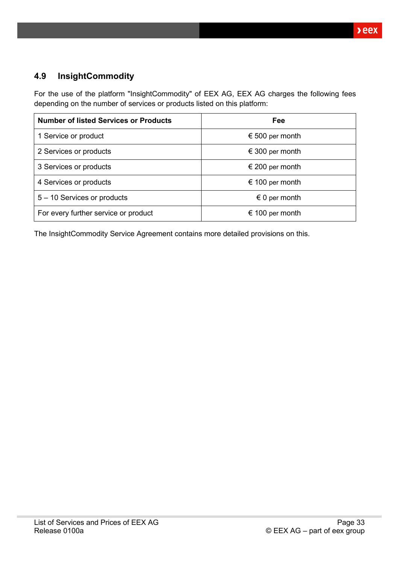### <span id="page-32-0"></span>**4.9 InsightCommodity**

For the use of the platform "InsightCommodity" of EEX AG, EEX AG charges the following fees depending on the number of services or products listed on this platform:

| <b>Number of listed Services or Products</b> | Fee                    |
|----------------------------------------------|------------------------|
| 1 Service or product                         | € 500 per month        |
| 2 Services or products                       | € 300 per month        |
| 3 Services or products                       | € 200 per month        |
| 4 Services or products                       | € 100 per month        |
| 5 - 10 Services or products                  | $\epsilon$ 0 per month |
| For every further service or product         | € 100 per month        |

The InsightCommodity Service Agreement contains more detailed provisions on this.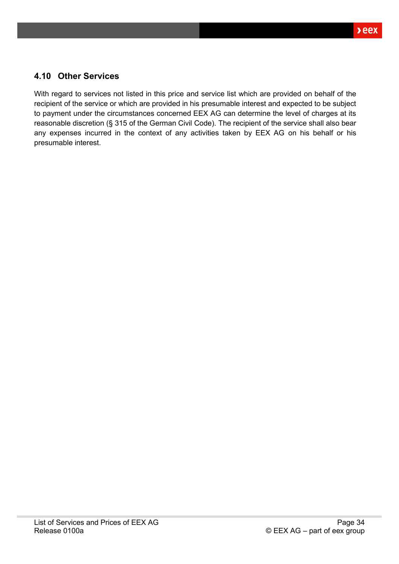### <span id="page-33-0"></span>**4.10 Other Services**

With regard to services not listed in this price and service list which are provided on behalf of the recipient of the service or which are provided in his presumable interest and expected to be subject to payment under the circumstances concerned EEX AG can determine the level of charges at its reasonable discretion (§ 315 of the German Civil Code). The recipient of the service shall also bear any expenses incurred in the context of any activities taken by EEX AG on his behalf or his presumable interest.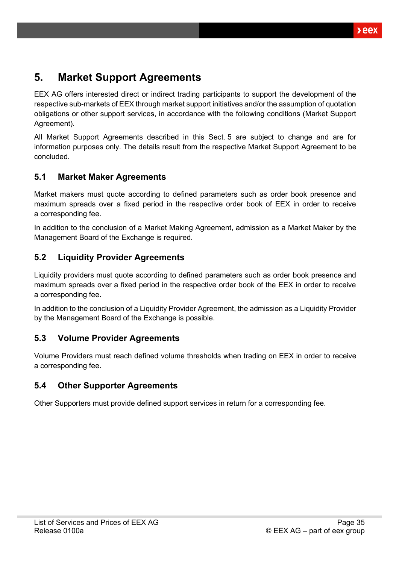## <span id="page-34-0"></span>**5. Market Support Agreements**

EEX AG offers interested direct or indirect trading participants to support the development of the respective sub-markets of EEX through market support initiatives and/or the assumption of quotation obligations or other support services, in accordance with the following conditions (Market Support Agreement).

All Market Support Agreements described in this Sect. [5](#page-34-0) are subject to change and are for information purposes only. The details result from the respective Market Support Agreement to be concluded.

### <span id="page-34-1"></span>**5.1 Market Maker Agreements**

Market makers must quote according to defined parameters such as order book presence and maximum spreads over a fixed period in the respective order book of EEX in order to receive a corresponding fee.

In addition to the conclusion of a Market Making Agreement, admission as a Market Maker by the Management Board of the Exchange is required.

### <span id="page-34-2"></span>**5.2 Liquidity Provider Agreements**

Liquidity providers must quote according to defined parameters such as order book presence and maximum spreads over a fixed period in the respective order book of the EEX in order to receive a corresponding fee.

In addition to the conclusion of a Liquidity Provider Agreement, the admission as a Liquidity Provider by the Management Board of the Exchange is possible.

### <span id="page-34-3"></span>**5.3 Volume Provider Agreements**

Volume Providers must reach defined volume thresholds when trading on EEX in order to receive a corresponding fee.

### <span id="page-34-4"></span>**5.4 Other Supporter Agreements**

Other Supporters must provide defined support services in return for a corresponding fee.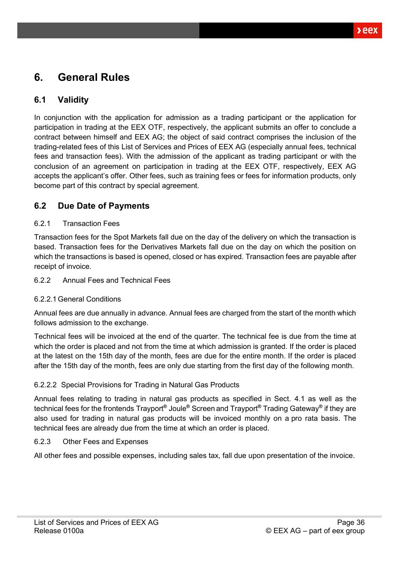# <span id="page-35-0"></span>**6. General Rules**

### <span id="page-35-1"></span>**6.1 Validity**

In conjunction with the application for admission as a trading participant or the application for participation in trading at the EEX OTF, respectively, the applicant submits an offer to conclude a contract between himself and EEX AG; the object of said contract comprises the inclusion of the trading-related fees of this List of Services and Prices of EEX AG (especially annual fees, technical fees and transaction fees). With the admission of the applicant as trading participant or with the conclusion of an agreement on participation in trading at the EEX OTF, respectively, EEX AG accepts the applicant's offer. Other fees, such as training fees or fees for information products, only become part of this contract by special agreement.

### <span id="page-35-2"></span>**6.2 Due Date of Payments**

#### <span id="page-35-3"></span>6.2.1 Transaction Fees

Transaction fees for the Spot Markets fall due on the day of the delivery on which the transaction is based. Transaction fees for the Derivatives Markets fall due on the day on which the position on which the transactions is based is opened, closed or has expired. Transaction fees are payable after receipt of invoice.

#### <span id="page-35-4"></span>6.2.2 Annual Fees and Technical Fees

#### <span id="page-35-5"></span>6.2.2.1General Conditions

Annual fees are due annually in advance. Annual fees are charged from the start of the month which follows admission to the exchange.

Technical fees will be invoiced at the end of the quarter. The technical fee is due from the time at which the order is placed and not from the time at which admission is granted. If the order is placed at the latest on the 15th day of the month, fees are due for the entire month. If the order is placed after the 15th day of the month, fees are only due starting from the first day of the following month.

#### <span id="page-35-6"></span>6.2.2.2 Special Provisions for Trading in Natural Gas Products

Annual fees relating to trading in natural gas products as specified in Sect. [4.1](#page-14-1) as well as the technical fees for the frontends Trayport**®** Joule**®** Screen and Trayport**®** Trading Gateway**®** if they are also used for trading in natural gas products will be invoiced monthly on a pro rata basis. The technical fees are already due from the time at which an order is placed.

#### <span id="page-35-7"></span>6.2.3 Other Fees and Expenses

All other fees and possible expenses, including sales tax, fall due upon presentation of the invoice.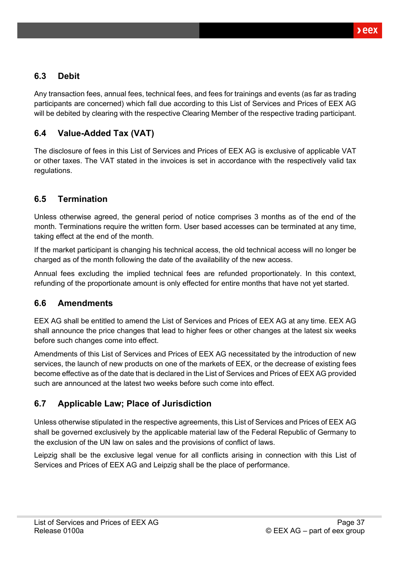### <span id="page-36-0"></span>**6.3 Debit**

Any transaction fees, annual fees, technical fees, and fees for trainings and events (as far as trading participants are concerned) which fall due according to this List of Services and Prices of EEX AG will be debited by clearing with the respective Clearing Member of the respective trading participant.

### <span id="page-36-1"></span>**6.4 Value-Added Tax (VAT)**

The disclosure of fees in this List of Services and Prices of EEX AG is exclusive of applicable VAT or other taxes. The VAT stated in the invoices is set in accordance with the respectively valid tax regulations.

### <span id="page-36-2"></span>**6.5 Termination**

Unless otherwise agreed, the general period of notice comprises 3 months as of the end of the month. Terminations require the written form. User based accesses can be terminated at any time, taking effect at the end of the month.

If the market participant is changing his technical access, the old technical access will no longer be charged as of the month following the date of the availability of the new access.

Annual fees excluding the implied technical fees are refunded proportionately. In this context, refunding of the proportionate amount is only effected for entire months that have not yet started.

### <span id="page-36-3"></span>**6.6 Amendments**

EEX AG shall be entitled to amend the List of Services and Prices of EEX AG at any time. EEX AG shall announce the price changes that lead to higher fees or other changes at the latest six weeks before such changes come into effect.

Amendments of this List of Services and Prices of EEX AG necessitated by the introduction of new services, the launch of new products on one of the markets of EEX, or the decrease of existing fees become effective as of the date that is declared in the List of Services and Prices of EEX AG provided such are announced at the latest two weeks before such come into effect.

### <span id="page-36-4"></span>**6.7 Applicable Law; Place of Jurisdiction**

Unless otherwise stipulated in the respective agreements, this List of Services and Prices of EEX AG shall be governed exclusively by the applicable material law of the Federal Republic of Germany to the exclusion of the UN law on sales and the provisions of conflict of laws.

Leipzig shall be the exclusive legal venue for all conflicts arising in connection with this List of Services and Prices of EEX AG and Leipzig shall be the place of performance.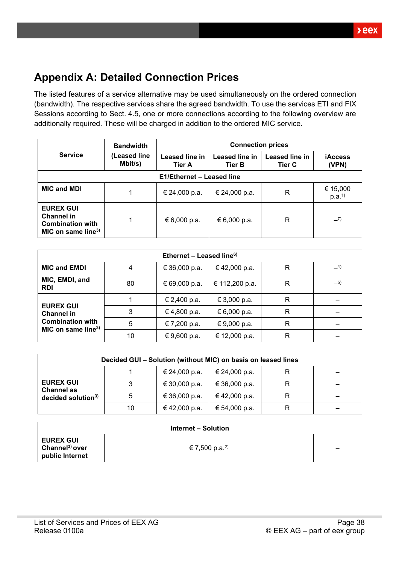## <span id="page-37-0"></span>**Appendix A: Detailed Connection Prices**

The listed features of a service alternative may be used simultaneously on the ordered connection (bandwidth). The respective services share the agreed bandwidth. To use the services ETI and FIX Sessions according to Sect. [4.5,](#page-20-0) one or more connections according to the following overview are additionally required. These will be charged in addition to the ordered MIC service.

|                                                                                                    | <b>Bandwidth</b>          |                                 | <b>Connection prices</b>        |                                 |                               |  |
|----------------------------------------------------------------------------------------------------|---------------------------|---------------------------------|---------------------------------|---------------------------------|-------------------------------|--|
| <b>Service</b>                                                                                     | (Leased line<br>Mbit/s)   | Leased line in<br><b>Tier A</b> | Leased line in<br><b>Tier B</b> | Leased line in<br><b>Tier C</b> | <b>iAccess</b><br>(VPN)       |  |
|                                                                                                    | E1/Ethernet - Leased line |                                 |                                 |                                 |                               |  |
| <b>MIC and MDI</b>                                                                                 | 1                         | € 24,000 p.a.                   | € 24,000 p.a.                   | R                               | € 15,000<br>p.a. <sup>1</sup> |  |
| <b>EUREX GUI</b><br><b>Channel in</b><br><b>Combination with</b><br>MIC on same line <sup>3)</sup> | 1                         | € 6,000 p.a.                    | € 6,000 p.a.                    | R                               | $-7)$                         |  |

| Ethernet - Leased line <sup>6)</sup>                      |    |               |                |   |       |
|-----------------------------------------------------------|----|---------------|----------------|---|-------|
| <b>MIC and EMDI</b>                                       | 4  | € 36,000 p.a. | €42,000 p.a.   | R | $-4)$ |
| MIC, EMDI, and<br><b>RDI</b>                              | 80 | € 69,000 p.a. | € 112,200 p.a. | R | $-5)$ |
|                                                           |    | € 2,400 p.a.  | € 3,000 p.a.   | R |       |
| <b>EUREX GUI</b><br><b>Channel in</b>                     | 3  | € 4,800 p.a.  | € 6,000 p.a.   | R |       |
| <b>Combination with</b><br>MIC on same line <sup>3)</sup> | 5  | € 7,200 p.a.  | € 9,000 p.a.   | R |       |
|                                                           | 10 | € 9,600 p.a.  | € 12,000 p.a.  | R |       |

| Decided GUI - Solution (without MIC) on basis on leased lines           |    |               |               |   |  |  |
|-------------------------------------------------------------------------|----|---------------|---------------|---|--|--|
| <b>EUREX GUI</b><br><b>Channel as</b><br>decided solution <sup>3)</sup> |    | € 24,000 p.a. | € 24,000 p.a. | R |  |  |
|                                                                         | 3  | € 30,000 p.a. | € 36,000 p.a. | R |  |  |
|                                                                         |    | € 36,000 p.a. | € 42,000 p.a. | R |  |  |
|                                                                         | 10 | € 42,000 p.a. | € 54,000 p.a. | R |  |  |

| Internet – Solution                                               |                            |   |  |  |
|-------------------------------------------------------------------|----------------------------|---|--|--|
| <b>EUREX GUI</b><br>Channel <sup>3)</sup> over<br>public Internet | € 7,500 p.a. <sup>2)</sup> | - |  |  |